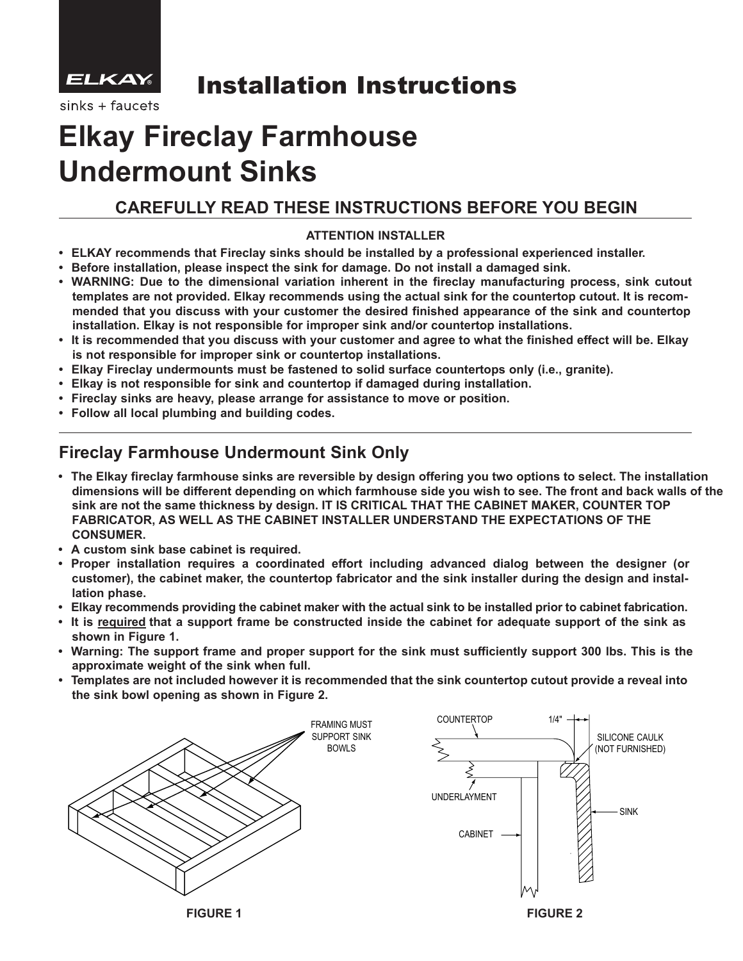

## Installation Instructions

sinks + faucets

# **Elkay Fireclay Farmhouse Undermount Sinks**

## **CAREFULLY READ THESE INSTRUCTIONS BEFORE YOU BEGIN**

### **ATTENTION INSTALLER**

- **• ELKAY recommends that Fireclay sinks should be installed by a professional experienced installer.**
- **• Before installation, please inspect the sink for damage. Do not install a damaged sink.**
- **• WARNING: Due to the dimensional variation inherent in the fireclay manufacturing process, sink cutout** templates are not provided. Elkay recommends using the actual sink for the countertop cutout. It is recom **mended that you discuss with your customer the desired finished appearance of the sink and countertop installation. Elkay is not responsible for improper sink and/or countertop installations.**
- It is recommended that you discuss with your customer and agree to what the finished effect will be. Elkay  **is not responsible for improper sink or countertop installations.**
- **• Elkay Fireclay undermounts must be fastened to solid surface countertops only (i.e., granite).**
- **• Elkay is not responsible for sink and countertop if damaged during installation.**
- **• Fireclay sinks are heavy, please arrange for assistance to move or position.**
- **• Follow all local plumbing and building codes.**

## **Fireclay Farmhouse Undermount Sink Only**

- **• The Elkay fireclay farmhouse sinks are reversible by design offering you two options to select. The installation dimensions will be different depending on which farmhouse side you wish to see. The front and back walls of the sink are not the same thickness by design. IT IS CRITICAL THAT THE CABINET MAKER, COUNTER TOP FABRICATOR, AS WELL AS THE CABINET INSTALLER UNDERSTAND THE EXPECTATIONS OF THE CONSUMER.**
- **• A custom sink base cabinet is required.**
- **• Proper installation requires a coordinated effort including advanced dialog between the designer (or customer), the cabinet maker, the countertop fabricator and the sink installer during the design and instal lation phase.**
- Elkay recommends providing the cabinet maker with the actual sink to be installed prior to cabinet fabrication.
- It is required that a support frame be constructed inside the cabinet for adequate support of the sink as  **shown in Figure 1.**
- Warning: The support frame and proper support for the sink must sufficiently support 300 lbs. This is the  **approximate weight of the sink when full.**
- Templates are not included however it is recommended that the sink countertop cutout provide a reveal into  **the sink bowl opening as shown in Figure 2.**